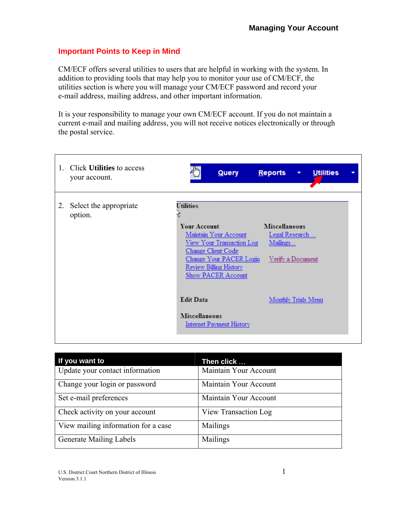## **Important Points to Keep in Mind**

CM/ECF offers several utilities to users that are helpful in working with the system. In addition to providing tools that may help you to monitor your use of CM/ECF, the utilities section is where you will manage your CM/ECF password and record your e-mail address, mailing address, and other important information.

It is your responsibility to manage your own CM/ECF account. If you do not maintain a current e-mail and mailing address, you will not receive notices electronically or through the postal service.

| 1. | Click <b>Utilities</b> to access<br>your account. | لسرام<br><b>Query</b>                                                                                                                                                                                 | <b>Reports</b><br><b>Utilities</b><br>$\blacktriangledown$              |
|----|---------------------------------------------------|-------------------------------------------------------------------------------------------------------------------------------------------------------------------------------------------------------|-------------------------------------------------------------------------|
| 2. | Select the appropriate<br>option.                 | <b>Utilities</b><br><b>Your Account</b><br>Maintain Your Account<br>View Your Transaction Log<br>Change Client Code<br>Change Your PACER Login<br><b>Review Billing History</b><br>Show PACER Account | <b>Miscellaneous</b><br>Legal Research<br>Mailings<br>Verify a Document |
|    |                                                   | <b>Edit Data</b><br><b>Miscellaneous</b><br><b>Internet Payment History</b>                                                                                                                           | Monthly Trials Menu                                                     |

| If you want to                      | Then click            |
|-------------------------------------|-----------------------|
| Update your contact information     | Maintain Your Account |
| Change your login or password       | Maintain Your Account |
| Set e-mail preferences              | Maintain Your Account |
| Check activity on your account      | View Transaction Log  |
| View mailing information for a case | Mailings              |
| <b>Generate Mailing Labels</b>      | Mailings              |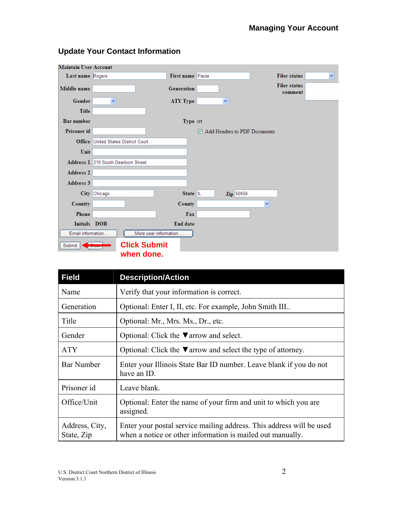| <b>Maintain User Account</b> |                                            |                  |                              |                                |  |  |
|------------------------------|--------------------------------------------|------------------|------------------------------|--------------------------------|--|--|
| Last name Rogers             |                                            | First name Paula |                              | <b>Filer status</b><br>×       |  |  |
| Middle name                  |                                            | Generation       |                              | <b>Filer status</b><br>comment |  |  |
| Gender                       | ×                                          | ATY Type         | ×                            |                                |  |  |
| <b>Title</b>                 |                                            |                  |                              |                                |  |  |
| <b>Bar number</b>            |                                            | Type crt         |                              |                                |  |  |
| Prisoner id                  |                                            |                  | Add Headers to PDF Documents |                                |  |  |
|                              | <b>Office United States District Court</b> |                  |                              |                                |  |  |
| Unit                         |                                            |                  |                              |                                |  |  |
|                              | Address 1 219 South Dearborn Street        |                  |                              |                                |  |  |
| <b>Address 2</b>             |                                            |                  |                              |                                |  |  |
| <b>Address 3</b>             |                                            |                  |                              |                                |  |  |
|                              | City Chicago                               | State $ L $      | Zip 60604                    |                                |  |  |
| Country                      |                                            | County           |                              | ×                              |  |  |
| Phone                        |                                            | Fax              |                              |                                |  |  |
| Initials DOB                 |                                            | End date         |                              |                                |  |  |
| Email information            | More user information                      |                  |                              |                                |  |  |
| Submit                       | <b>Click Submit</b>                        |                  |                              |                                |  |  |
|                              | when done.                                 |                  |                              |                                |  |  |

# **Update Your Contact Information**

| <b>Field</b>                 | <b>Description/Action</b>                                                                                                          |  |
|------------------------------|------------------------------------------------------------------------------------------------------------------------------------|--|
| Name                         | Verify that your information is correct.                                                                                           |  |
| Generation                   | Optional: Enter I, II, etc. For example, John Smith III                                                                            |  |
| Title                        | Optional: Mr., Mrs. Ms., Dr., etc.                                                                                                 |  |
| Gender                       | Optional: Click the $\nabla$ arrow and select.                                                                                     |  |
| <b>ATY</b>                   | Optional: Click the $\nabla$ arrow and select the type of attorney.                                                                |  |
| <b>Bar Number</b>            | Enter your Illinois State Bar ID number. Leave blank if you do not<br>have an ID.                                                  |  |
| Prisoner id                  | Leave blank.                                                                                                                       |  |
| Office/Unit                  | Optional: Enter the name of your firm and unit to which you are<br>assigned.                                                       |  |
| Address, City,<br>State, Zip | Enter your postal service mailing address. This address will be used<br>when a notice or other information is mailed out manually. |  |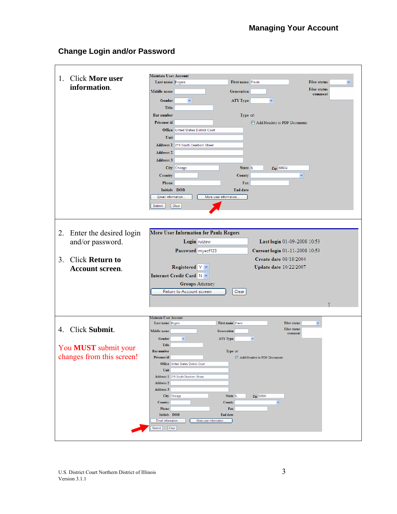# **Change Login and/or Password**

| <b>Click More user</b><br>1.             | <b>Maintain User Account</b>                                       |
|------------------------------------------|--------------------------------------------------------------------|
| information.                             | First name Paula<br>Last name Rogers<br><b>Filer status</b>        |
|                                          | <b>Filer status</b><br>Middle name<br><b>Generation</b><br>comment |
|                                          | $\checkmark$<br><b>ATY Type</b><br>$\checkmark$<br>Gender          |
|                                          | <b>Title</b>                                                       |
|                                          | <b>Bar number</b><br>Type crt                                      |
|                                          | Prisoner id<br>Add Headers to PDF Documents                        |
|                                          | <b>Office United States District Court</b>                         |
|                                          | Unit                                                               |
|                                          | Address 1 219 South Dearborn Street                                |
|                                          | <b>Address 2</b>                                                   |
|                                          |                                                                    |
|                                          | <b>Address 3</b>                                                   |
|                                          | City Chicago<br>Zip 60604<br>State IL                              |
|                                          | $\checkmark$<br>County<br>Country                                  |
|                                          | Phone<br>Fax                                                       |
|                                          | Initials DOB<br><b>End date</b>                                    |
|                                          | Email information.<br>More user information.                       |
|                                          | Clear<br>Submit                                                    |
|                                          |                                                                    |
|                                          |                                                                    |
|                                          |                                                                    |
| 2.<br>Enter the desired login            | More User Information for Paula Rogers                             |
| and/or password.                         | Login ruizew<br>Last login 01-09-2008 10:53                        |
|                                          | Password myecf123<br>Current login 01-11-2008 10:53                |
| <b>Click Return to</b><br>3 <sub>1</sub> | Create date 08/18/2004                                             |
|                                          | Registered $Y \vee$<br><b>Update date 10/22/2007</b>               |
| <b>Account screen.</b>                   | Internet Credit Card N v                                           |
|                                          |                                                                    |
|                                          | <b>Groups Attorney</b>                                             |
|                                          | Return to Account screen<br>Clear                                  |
|                                          |                                                                    |
|                                          |                                                                    |
|                                          | <b>Maintain User Account</b>                                       |
|                                          | First name Paula<br>Last name Rogers<br><b>Filer status</b><br>M   |
| 4. Click Submit.                         | <b>Filer status</b><br>Middle name<br>Generation<br>comment        |
|                                          | Gender<br>$\checkmark$<br>ATY Type<br>$\checkmark$                 |
| You MUST submit your                     | <b>Title</b>                                                       |
|                                          | <b>Bar number</b><br>Type crt                                      |
| changes from this screen!                | Prisoner id<br>$\triangleright$ Add Headers to PDF Documents       |
|                                          | Office United States District Court                                |
|                                          | Unit                                                               |
|                                          | Address 1 219 South Dearborn Street<br><b>Address 2</b>            |
|                                          | Address 3                                                          |
|                                          | City Chicago<br>State IL<br>Zip 60604                              |
|                                          | $\checkmark$<br>Country<br>County                                  |
|                                          | Phone<br>Fax                                                       |
|                                          | Initials DOB<br><b>End date</b>                                    |
|                                          | Email information.<br>More user information.                       |
|                                          | Clear<br>Submit                                                    |
|                                          |                                                                    |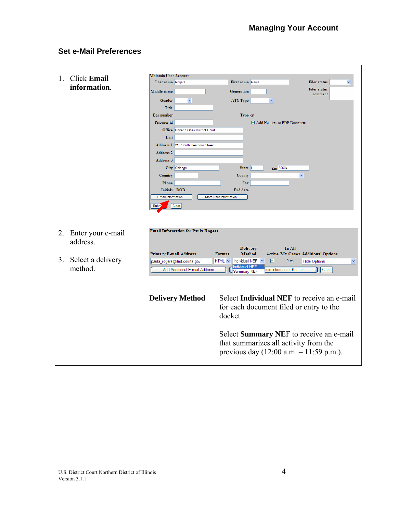## **Set e-Mail Preferences**

| 1. | <b>Click Email</b>            | <b>Maintain User Account</b>  |                                            |                        |                                  |                              |                                                                                                                             |
|----|-------------------------------|-------------------------------|--------------------------------------------|------------------------|----------------------------------|------------------------------|-----------------------------------------------------------------------------------------------------------------------------|
|    | information.                  | Last name Rogers              |                                            |                        | First name Paula                 |                              | <b>Filer status</b>                                                                                                         |
|    |                               | Middle name                   |                                            |                        | <b>Generation</b>                |                              | <b>Filer status</b><br>comment                                                                                              |
|    |                               | Gender                        | $\checkmark$                               |                        | <b>ATY Type</b>                  | $\checkmark$                 |                                                                                                                             |
|    |                               | <b>Title</b>                  |                                            |                        |                                  |                              |                                                                                                                             |
|    |                               | <b>Bar number</b>             |                                            |                        | Type crt                         |                              |                                                                                                                             |
|    |                               | Prisoner id                   |                                            |                        |                                  | Add Headers to PDF Documents |                                                                                                                             |
|    |                               |                               | <b>Office United States District Court</b> |                        |                                  |                              |                                                                                                                             |
|    |                               | Unit                          |                                            |                        |                                  |                              |                                                                                                                             |
|    |                               |                               | Address 1 219 South Dearborn Street        |                        |                                  |                              |                                                                                                                             |
|    |                               | <b>Address 2</b>              |                                            |                        |                                  |                              |                                                                                                                             |
|    |                               | Address 3                     |                                            |                        |                                  |                              |                                                                                                                             |
|    |                               |                               | City Chicago                               |                        | State IL                         | Zip 60604                    |                                                                                                                             |
|    |                               | Country                       |                                            |                        | County                           |                              | $\checkmark$                                                                                                                |
|    |                               | Phone                         |                                            |                        | Fax                              |                              |                                                                                                                             |
|    |                               | Initials DOB                  |                                            |                        | End date                         |                              |                                                                                                                             |
|    |                               | Email information.            |                                            | More user information. |                                  |                              |                                                                                                                             |
|    |                               | Subm                          | Clear                                      |                        |                                  |                              |                                                                                                                             |
|    |                               |                               |                                            |                        |                                  |                              |                                                                                                                             |
| 2. | Enter your e-mail<br>address. |                               | <b>Email Information for Paula Rogers</b>  |                        |                                  |                              |                                                                                                                             |
|    |                               | <b>Primary E-mail Address</b> |                                            | Format                 | <b>Delivery</b><br><b>Method</b> | In All                       | <b>Active My Cases Additional Options</b>                                                                                   |
| 3. | Select a delivery             |                               | paula_rogers@ilnd.courts.gov               | $HTML \sim$            | Individual NEF                   | Yes<br>☑                     | <b>Hide Options</b><br>×                                                                                                    |
|    | method.                       |                               | Add Additional E-mail Address              |                        | <b>Individual NEF</b>            | son Information Screen       | Clear                                                                                                                       |
|    |                               |                               |                                            |                        | Summary NEF                      |                              |                                                                                                                             |
|    |                               |                               |                                            |                        |                                  |                              |                                                                                                                             |
|    |                               |                               | <b>Delivery Method</b>                     | docket.                |                                  |                              | Select <b>Individual NEF</b> to receive an e-mail<br>for each document filed or entry to the                                |
|    |                               |                               |                                            |                        |                                  |                              | Select Summary NEF to receive an e-mail<br>that summarizes all activity from the<br>previous day (12:00 a.m. - 11:59 p.m.). |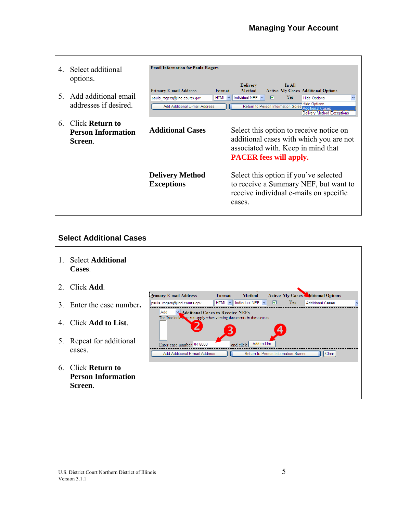| 4<br>5 <sup>7</sup> | Select additional<br>options.<br>Add additional email<br>addresses if desired. | <b>Email Information for Paula Rogers</b><br><b>Primary E-mail Address</b><br>Format<br>$HTML \nightharpoonup$<br>paula_rogers@ilnd.courts.gov<br>Add Additional E-mail Address | In All<br><b>Delivery</b><br><b>Method</b><br><b>Active My Cases Additional Options</b><br>Individual NEF $\vee$<br><b>Yes</b><br>ا⊽ا<br><b>Hide Options</b><br><b>Hide Options</b><br>Return to Person Information Scree<br><b>Additional Cases</b><br><b>Delivery Method Exceptions</b> |
|---------------------|--------------------------------------------------------------------------------|---------------------------------------------------------------------------------------------------------------------------------------------------------------------------------|-------------------------------------------------------------------------------------------------------------------------------------------------------------------------------------------------------------------------------------------------------------------------------------------|
| 6                   | Click <b>Return to</b><br><b>Person Information</b><br>Screen.                 | <b>Additional Cases</b>                                                                                                                                                         | Select this option to receive notice on<br>additional cases with which you are not<br>associated with. Keep in mind that<br><b>PACER</b> fees will apply.                                                                                                                                 |
|                     |                                                                                | <b>Delivery Method</b><br><b>Exceptions</b>                                                                                                                                     | Select this option if you've selected<br>to receive a Summary NEF, but want to<br>receive individual e-mails on specific<br>cases.                                                                                                                                                        |

## **Select Additional Cases**

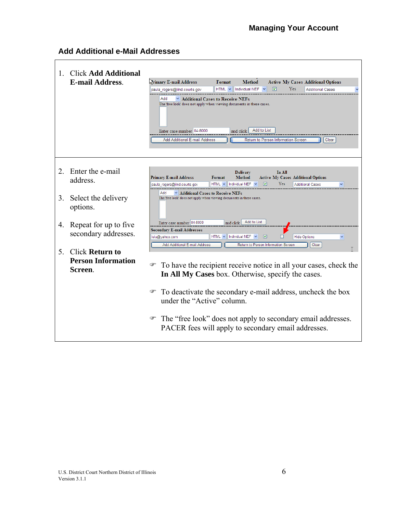## **Add Additional e-Mail Addresses**

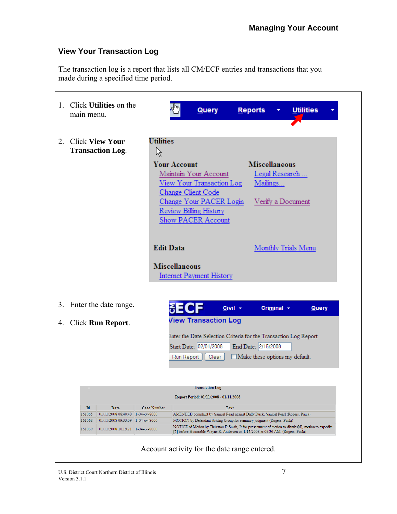## **View Your Transaction Log**

The transaction log is a report that lists all CM/ECF entries and transactions that you made during a specified time period.

|    | 1. Click Utilities on the<br>main menu.                                                                                                                                                                                                                                                                                                                                                                                                                                                                                                                                                                                                                                         | Query<br>Reports<br><b>Utilities</b>                                                                                                                                                                                                                                                  |  |  |  |  |
|----|---------------------------------------------------------------------------------------------------------------------------------------------------------------------------------------------------------------------------------------------------------------------------------------------------------------------------------------------------------------------------------------------------------------------------------------------------------------------------------------------------------------------------------------------------------------------------------------------------------------------------------------------------------------------------------|---------------------------------------------------------------------------------------------------------------------------------------------------------------------------------------------------------------------------------------------------------------------------------------|--|--|--|--|
| 2. | <b>Click View Your</b><br><b>Transaction Log.</b>                                                                                                                                                                                                                                                                                                                                                                                                                                                                                                                                                                                                                               | <b>Utilities</b><br>ド<br><b>Miscellaneous</b><br><b>Your Account</b><br>Maintain Your Account<br>Legal Research<br>View Your Transaction Log<br>Mailings<br>Change Client Code<br>Change Your PACER Login<br>Verify a Document<br>Review Billing History<br><b>Show PACER Account</b> |  |  |  |  |
|    |                                                                                                                                                                                                                                                                                                                                                                                                                                                                                                                                                                                                                                                                                 | <b>Edit Data</b><br>Monthly Trials Menu<br><b>Miscellaneous</b><br><b>Internet Payment History</b>                                                                                                                                                                                    |  |  |  |  |
| 3. | Enter the date range.<br>$Civil -$<br>Criminal $\sim$<br>Query<br><b>View Transaction Log</b><br>4. Click Run Report.<br>Enter the Date Selection Criteria for the Transaction Log Report<br>Start Date: 02/01/2008<br>End Date: 2/15/2008<br>Make these options my default.<br>Clear<br>Run Report                                                                                                                                                                                                                                                                                                                                                                             |                                                                                                                                                                                                                                                                                       |  |  |  |  |
|    | <b>Transaction Log</b><br>I<br>Report Period: 01/11/2008 - 01/11/2008<br>Id<br>Date<br><b>Case Number</b><br><b>Text</b><br>01/11/2008 08:40:40 1-04-cv-8000<br>161065<br>AMENDED complaint by Samuel Pearl against Daffy Duck, Samuel Pearl (Rogers, Paula)<br>161068<br>01/11/2008 09:33:09 1-04-cv-8000<br>MOTION by Defendant Arkling Group for summary judgment (Rogers, Paula)<br>NOTICE of Motion by Thuirston D Smith, Jr for presentment of motion to dismiss[6], motion to expedite<br>161069<br>01/11/2008 10:19:21 1-04-cv-8000<br>[7] before Honorable Wayne R. Andersen on 1/15/2008 at 09:30 AM. (Rogers, Paula)<br>Account activity for the date range entered. |                                                                                                                                                                                                                                                                                       |  |  |  |  |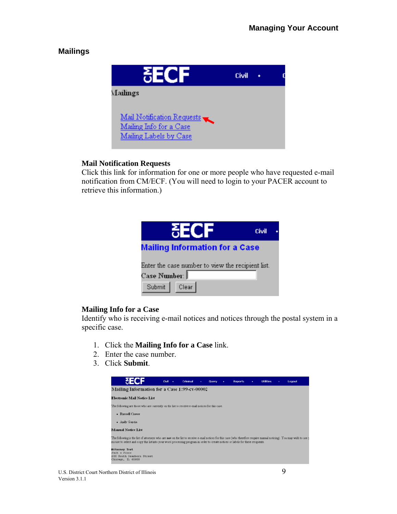## **Mailings**



### **Mail Notification Requests**

Click this link for information for one or more people who have requested e-mail notification from CM/ECF. (You will need to login to your PACER account to retrieve this information.)

| 25QE                                                                | Civil |  |  |
|---------------------------------------------------------------------|-------|--|--|
| <b>Mailing Information for a Case</b>                               |       |  |  |
| Enter the case number to view the recipient list.<br>Case Number: I |       |  |  |
| Submit Clear                                                        |       |  |  |

### **Mailing Info for a Case**

Identify who is receiving e-mail notices and notices through the postal system in a specific case.

- 1. Click the **Mailing Info for a Case** link.
- 2. Enter the case number.
- 3. Click **Submit**.